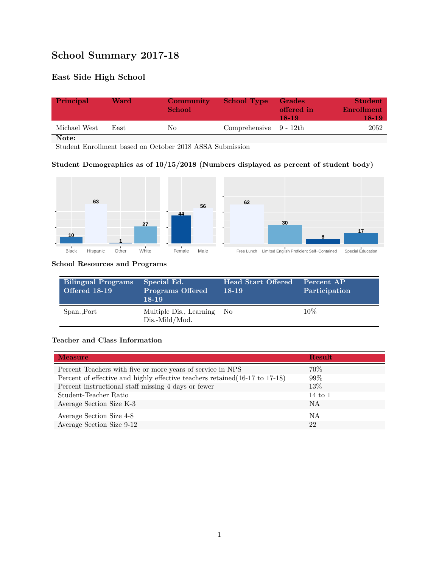# **School Summary 2017-18**

# **East Side High School**

| Principal    | Ward | Community<br><b>School</b> | <b>School Type</b>        | Grades<br>offered in<br>18-19 | <b>Student</b><br>Enrollment<br>18-19 |
|--------------|------|----------------------------|---------------------------|-------------------------------|---------------------------------------|
| Michael West | East | Nο                         | Comprehensive $9 - 12$ th |                               | 2052                                  |

**Note:**

Student Enrollment based on October 2018 ASSA Submission

## **Student Demographics as of 10/15/2018 (Numbers displayed as percent of student body)**



#### **School Resources and Programs**

| <b>Bilingual Programs</b><br><b>Offered 18-19</b> | Special Ed.<br><b>Programs Offered</b><br>$18 - 19$ | <b>Head Start Offered</b><br>$18-19$ | Percent AP<br>Participation |
|---------------------------------------------------|-----------------------------------------------------|--------------------------------------|-----------------------------|
| Span., Port                                       | Multiple Dis., Learning No<br>Dis.-Mild/Mod.        |                                      | $10\%$                      |

#### **Teacher and Class Information**

| <b>Measure</b>                                                               | <b>Result</b>      |
|------------------------------------------------------------------------------|--------------------|
| Percent Teachers with five or more years of service in NPS                   | 70\%               |
| Percent of effective and highly effective teachers retained (16-17 to 17-18) | $99\%$             |
| Percent instructional staff missing 4 days or fewer                          | 13%                |
| Student-Teacher Ratio                                                        | $14 \text{ to } 1$ |
| Average Section Size K-3                                                     | NA                 |
| Average Section Size 4-8                                                     | ΝA                 |
| Average Section Size 9-12                                                    | 22                 |